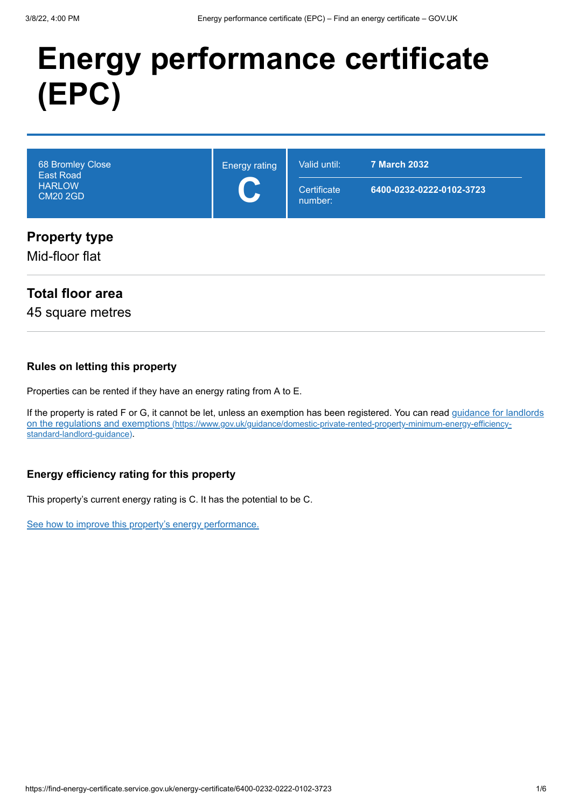# **Energy performance certificate (EPC)**

| 68 Bromley Close<br><b>East Road</b><br><b>HARLOW</b><br><b>CM20 2GD</b> | <b>Energy rating</b><br>C | Valid until:<br>Certificate<br>number: | <b>7 March 2032</b><br>6400-0232-0222-0102-3723 |
|--------------------------------------------------------------------------|---------------------------|----------------------------------------|-------------------------------------------------|
| <b>Property type</b><br>Mid-floor flat                                   |                           |                                        |                                                 |

# **Total floor area**

45 square metres

#### **Rules on letting this property**

Properties can be rented if they have an energy rating from A to E.

[If the property is rated F or G, it cannot be let, unless an exemption has been registered. You can read guidance for landlords](https://www.gov.uk/guidance/domestic-private-rented-property-minimum-energy-efficiency-standard-landlord-guidance) on the regulations and exemptions (https://www.gov.uk/guidance/domestic-private-rented-property-minimum-energy-efficiencystandard-landlord-guidance).

## **Energy efficiency rating for this property**

This property's current energy rating is C. It has the potential to be C.

[See how to improve this property's energy performance.](#page-3-0)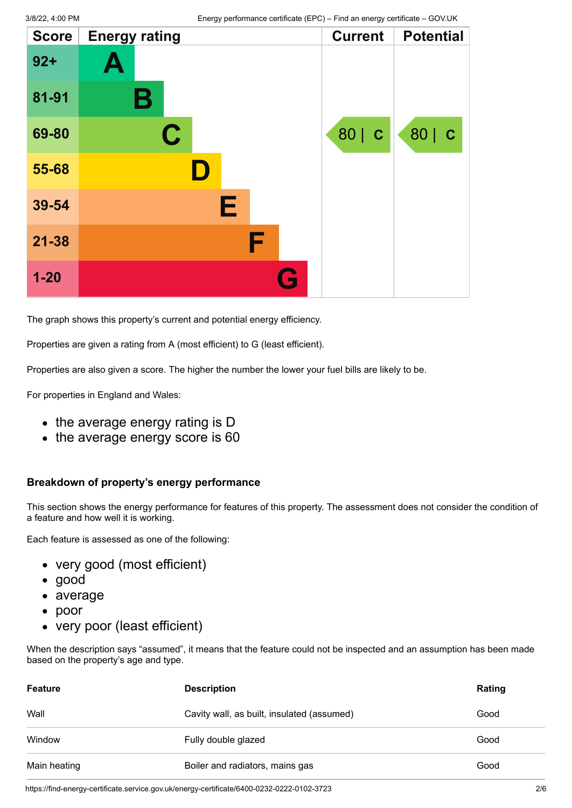| <b>Score</b> | <b>Energy rating</b> | <b>Current</b> | <b>Potential</b> |
|--------------|----------------------|----------------|------------------|
| $92 +$       | Ą                    |                |                  |
| 81-91        | В                    |                |                  |
| 69-80        | C                    | 80   C         | 80   C           |
| 55-68        |                      |                |                  |
| 39-54        | E                    |                |                  |
| $21 - 38$    | F                    |                |                  |
| $1 - 20$     |                      |                |                  |

The graph shows this property's current and potential energy efficiency.

Properties are given a rating from A (most efficient) to G (least efficient).

Properties are also given a score. The higher the number the lower your fuel bills are likely to be.

For properties in England and Wales:

- the average energy rating is D
- the average energy score is 60

#### **Breakdown of property's energy performance**

This section shows the energy performance for features of this property. The assessment does not consider the condition of a feature and how well it is working.

Each feature is assessed as one of the following:

- very good (most efficient)
- good
- average
- poor
- very poor (least efficient)

When the description says "assumed", it means that the feature could not be inspected and an assumption has been made based on the property's age and type.

| <b>Feature</b> | <b>Description</b>                         | Rating |
|----------------|--------------------------------------------|--------|
| Wall           | Cavity wall, as built, insulated (assumed) | Good   |
| Window         | Fully double glazed                        | Good   |
| Main heating   | Boiler and radiators, mains gas            | Good   |

https://find-energy-certificate.service.gov.uk/energy-certificate/6400-0232-0222-0102-3723 2/6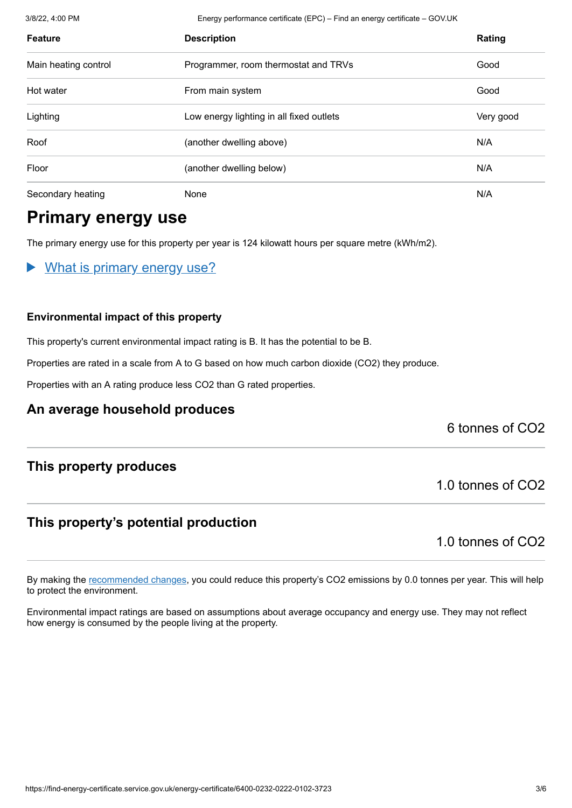3/8/22, 4:00 PM Energy performance certificate (EPC) – Find an energy certificate – GOV.UK

| <b>Feature</b>       | <b>Description</b>                       |           |
|----------------------|------------------------------------------|-----------|
| Main heating control | Programmer, room thermostat and TRVs     | Good      |
| Hot water            | From main system                         | Good      |
| Lighting             | Low energy lighting in all fixed outlets | Very good |
| Roof                 | (another dwelling above)                 | N/A       |
| Floor                | (another dwelling below)                 | N/A       |
| Secondary heating    | None                                     | N/A       |

# **Primary energy use**

The primary energy use for this property per year is 124 kilowatt hours per square metre (kWh/m2).

What is primary energy use?

#### **Environmental impact of this property**

This property's current environmental impact rating is B. It has the potential to be B.

Properties are rated in a scale from A to G based on how much carbon dioxide (CO2) they produce.

Properties with an A rating produce less CO2 than G rated properties.

## **An average household produces**

6 tonnes of CO2

## **This property produces**

## **This property's potential production**

1.0 tonnes of CO2

1.0 tonnes of CO2

By making the [recommended changes](#page-3-0), you could reduce this property's CO2 emissions by 0.0 tonnes per year. This will help to protect the environment.

Environmental impact ratings are based on assumptions about average occupancy and energy use. They may not reflect how energy is consumed by the people living at the property.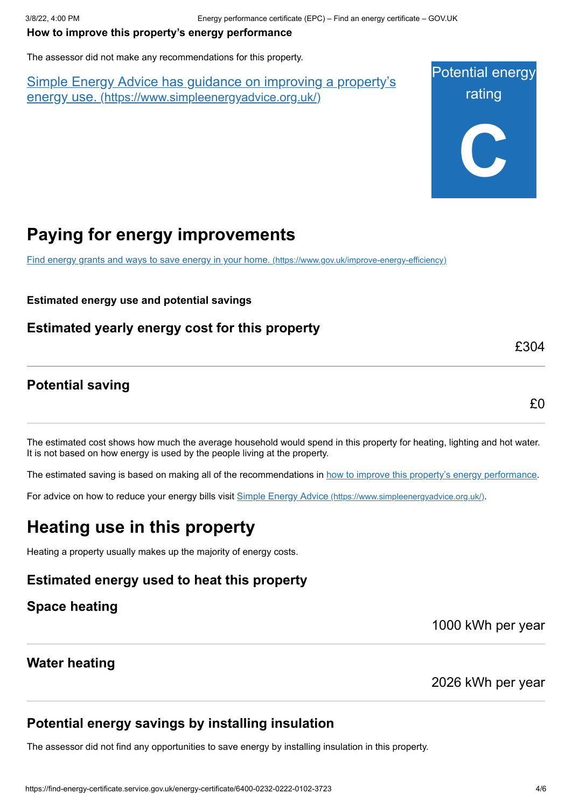#### <span id="page-3-0"></span>**How to improve this property's energy performance**

The assessor did not make any recommendations for this property.

Simple Energy Advice has guidance on improving a property's energy use. [\(https://www.simpleenergyadvice.org.uk/\)](https://www.simpleenergyadvice.org.uk/)



# **Paying for energy improvements**

[Find energy grants and ways to save energy in your home.](https://www.gov.uk/improve-energy-efficiency) (https://www.gov.uk/improve-energy-efficiency)

**Estimated energy use and potential savings**

**Estimated yearly energy cost for this property**

**Potential saving**

£0

£304

The estimated cost shows how much the average household would spend in this property for heating, lighting and hot water. It is not based on how energy is used by the people living at the property.

The estimated saving is based on making all of the recommendations in [how to improve this property's energy performance.](#page-3-0)

For advice on how to reduce your energy bills visit Simple Energy Advice [\(https://www.simpleenergyadvice.org.uk/\)](https://www.simpleenergyadvice.org.uk/).

# **Heating use in this property**

Heating a property usually makes up the majority of energy costs.

**Estimated energy used to heat this property**

**Space heating**

1000 kWh per year

## **Water heating**

2026 kWh per year

## **Potential energy savings by installing insulation**

The assessor did not find any opportunities to save energy by installing insulation in this property.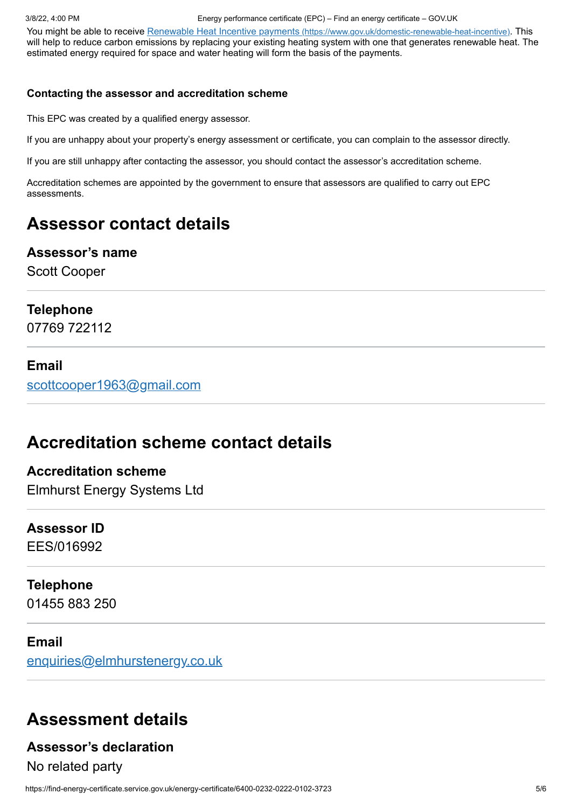You might be able to receive Renewable Heat Incentive payments [\(https://www.gov.uk/domestic-renewable-heat-incentive\)](https://www.gov.uk/domestic-renewable-heat-incentive). This will help to reduce carbon emissions by replacing your existing heating system with one that generates renewable heat. The estimated energy required for space and water heating will form the basis of the payments.

#### **Contacting the assessor and accreditation scheme**

This EPC was created by a qualified energy assessor.

If you are unhappy about your property's energy assessment or certificate, you can complain to the assessor directly.

If you are still unhappy after contacting the assessor, you should contact the assessor's accreditation scheme.

Accreditation schemes are appointed by the government to ensure that assessors are qualified to carry out EPC assessments.

# **Assessor contact details**

#### **Assessor's name**

Scott Cooper

#### **Telephone**

07769 722112

#### **Email**

[scottcooper1963@gmail.com](mailto:scottcooper1963@gmail.com)

# **Accreditation scheme contact details**

**Accreditation scheme** Elmhurst Energy Systems Ltd

# **Assessor ID**

EES/016992

# **Telephone**

01455 883 250

#### **Email**

[enquiries@elmhurstenergy.co.uk](mailto:enquiries@elmhurstenergy.co.uk)

# **Assessment details**

## **Assessor's declaration**

No related party